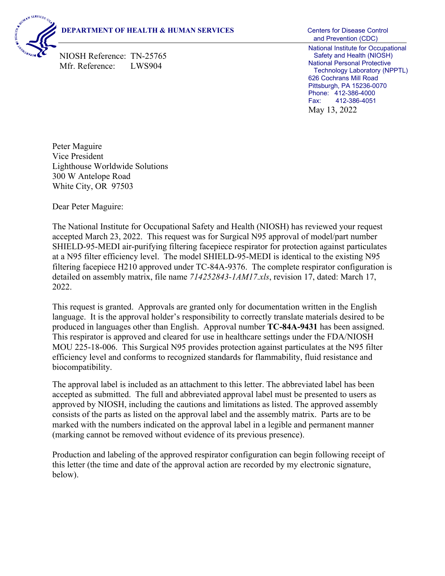## **DEPARTMENT OF HEALTH & HUMAN SERVICES** Centers for Disease Control



NIOSH Reference: TN-25765 Mfr. Reference: LWS904

 and Prevention (CDC) National Institute for Occupational Safety and Health (NIOSH) National Personal Protective Technology Laboratory (NPPTL) 626 Cochrans Mill Road Pittsburgh, PA 15236-0070 Phone: 412-386-4000 Fax: 412-386-4051 May 13, 2022

Peter Maguire Vice President Lighthouse Worldwide Solutions 300 W Antelope Road White City, OR 97503

Dear Peter Maguire:

The National Institute for Occupational Safety and Health (NIOSH) has reviewed your request accepted March 23, 2022. This request was for Surgical N95 approval of model/part number SHIELD-95-MEDI air-purifying filtering facepiece respirator for protection against particulates at a N95 filter efficiency level. The model SHIELD-95-MEDI is identical to the existing N95 filtering facepiece H210 approved under TC-84A-9376. The complete respirator configuration is detailed on assembly matrix, file name *714252843-1AM17.xls*, revision 17, dated: March 17, 2022.

This request is granted. Approvals are granted only for documentation written in the English language. It is the approval holder's responsibility to correctly translate materials desired to be produced in languages other than English. Approval number **TC-84A-9431** has been assigned. This respirator is approved and cleared for use in healthcare settings under the FDA/NIOSH MOU 225-18-006. This Surgical N95 provides protection against particulates at the N95 filter efficiency level and conforms to recognized standards for flammability, fluid resistance and biocompatibility.

The approval label is included as an attachment to this letter. The abbreviated label has been accepted as submitted. The full and abbreviated approval label must be presented to users as approved by NIOSH, including the cautions and limitations as listed. The approved assembly consists of the parts as listed on the approval label and the assembly matrix. Parts are to be marked with the numbers indicated on the approval label in a legible and permanent manner (marking cannot be removed without evidence of its previous presence).

Production and labeling of the approved respirator configuration can begin following receipt of this letter (the time and date of the approval action are recorded by my electronic signature, below).